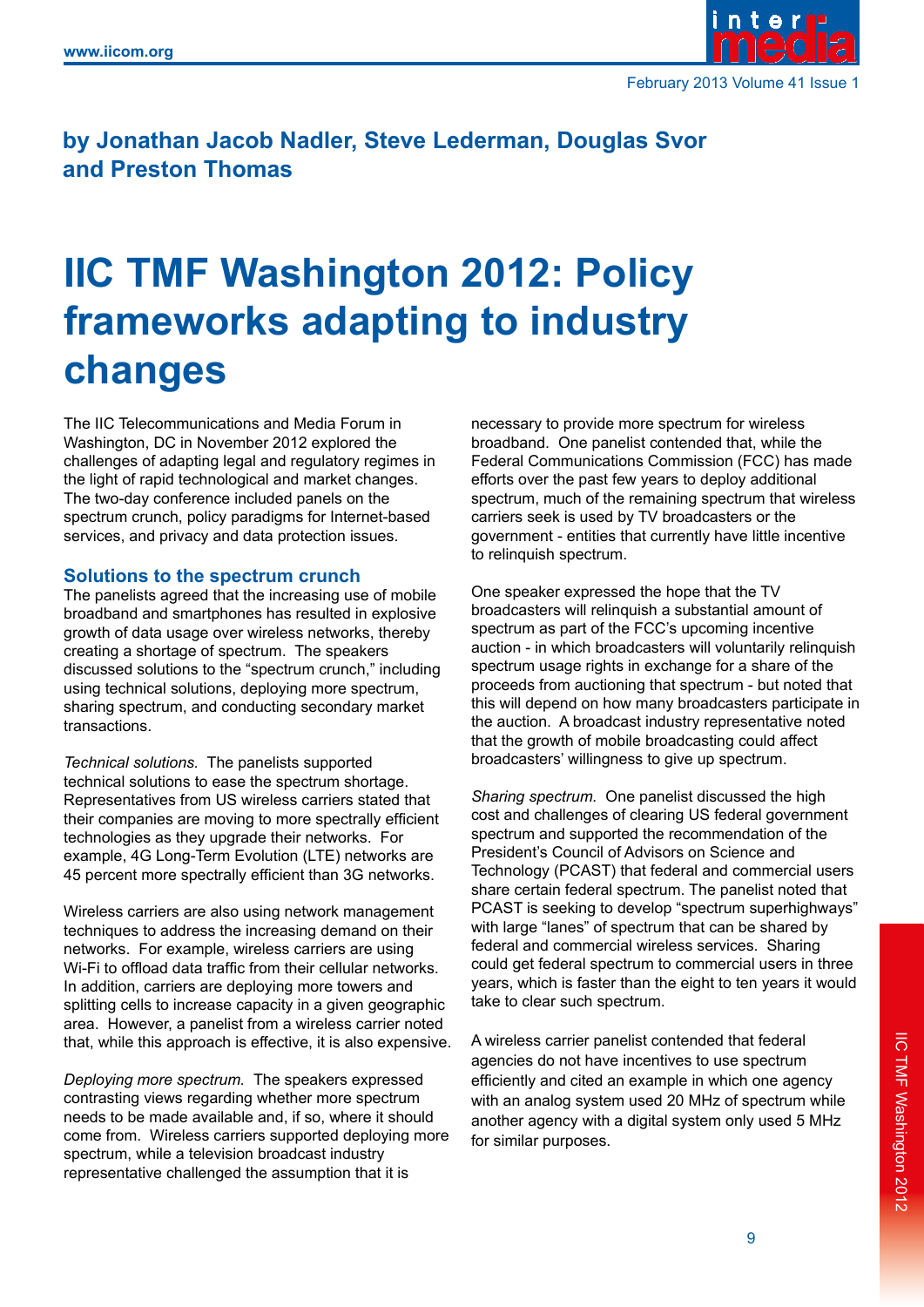

# **by Jonathan Jacob Nadler, Steve Lederman, Douglas Svor and Preston Thomas**

# **IIC TMF Washington 2012: Policy frameworks adapting to industry changes**

The IIC Telecommunications and Media Forum in Washington, DC in November 2012 explored the challenges of adapting legal and regulatory regimes in the light of rapid technological and market changes. The two-day conference included panels on the spectrum crunch, policy paradigms for Internet-based services, and privacy and data protection issues.

# **Solutions to the spectrum crunch**

The panelists agreed that the increasing use of mobile broadband and smartphones has resulted in explosive growth of data usage over wireless networks, thereby creating a shortage of spectrum. The speakers discussed solutions to the "spectrum crunch," including using technical solutions, deploying more spectrum, sharing spectrum, and conducting secondary market transactions.

*Technical solutions.* The panelists supported technical solutions to ease the spectrum shortage. Representatives from US wireless carriers stated that their companies are moving to more spectrally efficient technologies as they upgrade their networks. For example, 4G Long-Term Evolution (LTE) networks are 45 percent more spectrally efficient than 3G networks.

Wireless carriers are also using network management techniques to address the increasing demand on their networks. For example, wireless carriers are using Wi-Fi to offload data traffic from their cellular networks. In addition, carriers are deploying more towers and splitting cells to increase capacity in a given geographic area. However, a panelist from a wireless carrier noted that, while this approach is effective, it is also expensive.

*Deploying more spectrum.* The speakers expressed contrasting views regarding whether more spectrum needs to be made available and, if so, where it should come from. Wireless carriers supported deploying more spectrum, while a television broadcast industry representative challenged the assumption that it is

necessary to provide more spectrum for wireless broadband. One panelist contended that, while the Federal Communications Commission (FCC) has made efforts over the past few years to deploy additional spectrum, much of the remaining spectrum that wireless carriers seek is used by TV broadcasters or the government - entities that currently have little incentive to relinquish spectrum.

One speaker expressed the hope that the TV broadcasters will relinquish a substantial amount of spectrum as part of the FCC's upcoming incentive auction - in which broadcasters will voluntarily relinquish spectrum usage rights in exchange for a share of the proceeds from auctioning that spectrum - but noted that this will depend on how many broadcasters participate in the auction. A broadcast industry representative noted that the growth of mobile broadcasting could affect broadcasters' willingness to give up spectrum.

*Sharing spectrum.* One panelist discussed the high cost and challenges of clearing US federal government spectrum and supported the recommendation of the President's Council of Advisors on Science and Technology (PCAST) that federal and commercial users share certain federal spectrum. The panelist noted that PCAST is seeking to develop "spectrum superhighways" with large "lanes" of spectrum that can be shared by federal and commercial wireless services. Sharing could get federal spectrum to commercial users in three years, which is faster than the eight to ten years it would take to clear such spectrum.

A wireless carrier panelist contended that federal agencies do not have incentives to use spectrum efficiently and cited an example in which one agency with an analog system used 20 MHz of spectrum while another agency with a digital system only used 5 MHz for similar purposes.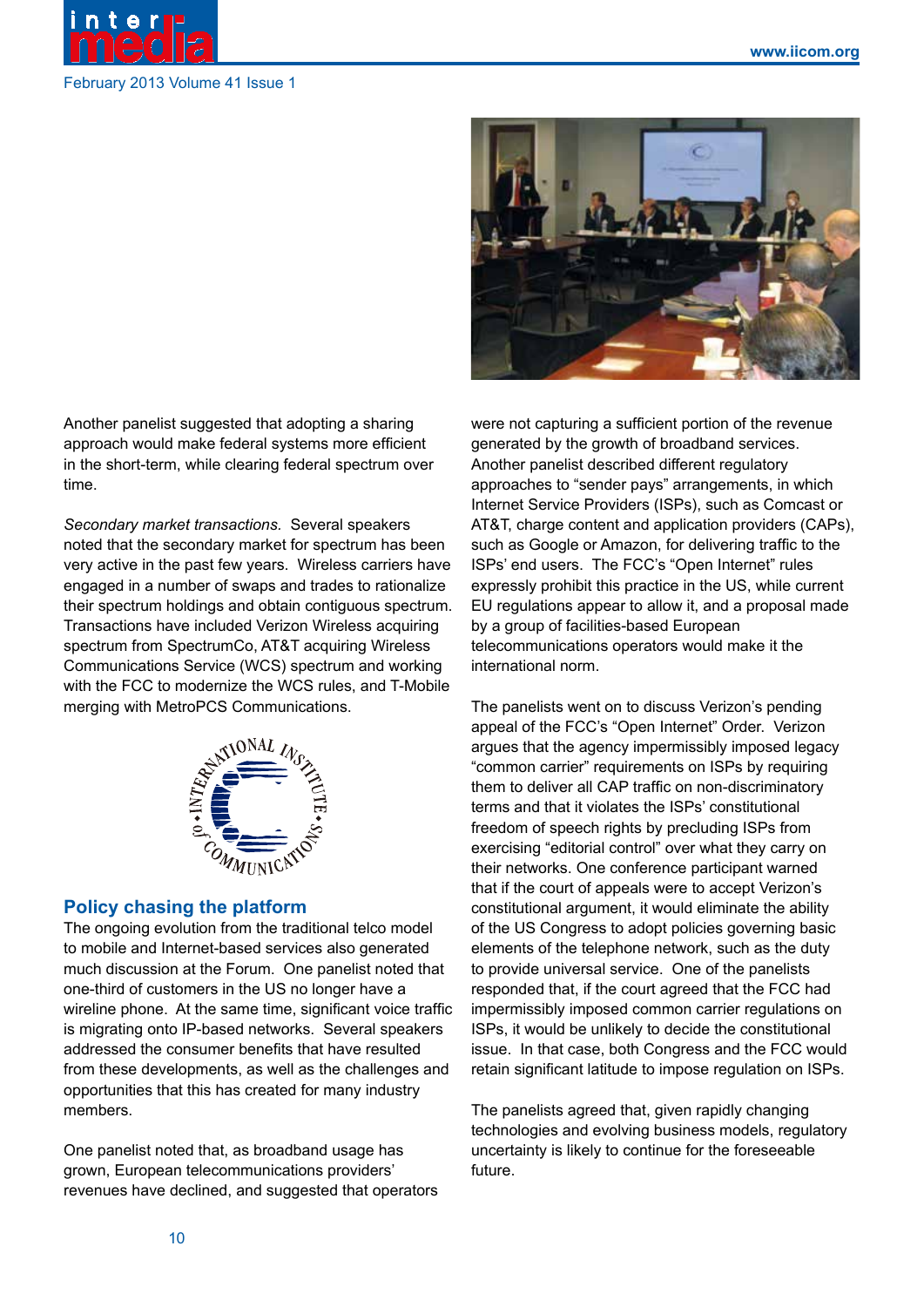

#### February 2013 Volume 41 Issue 1

Another panelist suggested that adopting a sharing approach would make federal systems more efficient in the short-term, while clearing federal spectrum over time.

*Secondary market transactions.* Several speakers noted that the secondary market for spectrum has been very active in the past few years. Wireless carriers have engaged in a number of swaps and trades to rationalize their spectrum holdings and obtain contiguous spectrum. Transactions have included Verizon Wireless acquiring spectrum from SpectrumCo, AT&T acquiring Wireless Communications Service (WCS) spectrum and working with the FCC to modernize the WCS rules, and T-Mobile merging with MetroPCS Communications.



### **Policy chasing the platform**

The ongoing evolution from the traditional telco model to mobile and Internet-based services also generated much discussion at the Forum. One panelist noted that one-third of customers in the US no longer have a wireline phone. At the same time, significant voice traffic is migrating onto IP-based networks. Several speakers addressed the consumer benefits that have resulted from these developments, as well as the challenges and opportunities that this has created for many industry members.

One panelist noted that, as broadband usage has grown, European telecommunications providers' revenues have declined, and suggested that operators



were not capturing a sufficient portion of the revenue generated by the growth of broadband services. Another panelist described different regulatory approaches to "sender pays" arrangements, in which Internet Service Providers (ISPs), such as Comcast or AT&T, charge content and application providers (CAPs), such as Google or Amazon, for delivering traffic to the ISPs' end users. The FCC's "Open Internet" rules expressly prohibit this practice in the US, while current EU regulations appear to allow it, and a proposal made by a group of facilities-based European telecommunications operators would make it the international norm.

The panelists went on to discuss Verizon's pending appeal of the FCC's "Open Internet" Order. Verizon argues that the agency impermissibly imposed legacy "common carrier" requirements on ISPs by requiring them to deliver all CAP traffic on non-discriminatory terms and that it violates the ISPs' constitutional freedom of speech rights by precluding ISPs from exercising "editorial control" over what they carry on their networks. One conference participant warned that if the court of appeals were to accept Verizon's constitutional argument, it would eliminate the ability of the US Congress to adopt policies governing basic elements of the telephone network, such as the duty to provide universal service. One of the panelists responded that, if the court agreed that the FCC had impermissibly imposed common carrier regulations on ISPs, it would be unlikely to decide the constitutional issue. In that case, both Congress and the FCC would retain significant latitude to impose regulation on ISPs.

The panelists agreed that, given rapidly changing technologies and evolving business models, regulatory uncertainty is likely to continue for the foreseeable future.